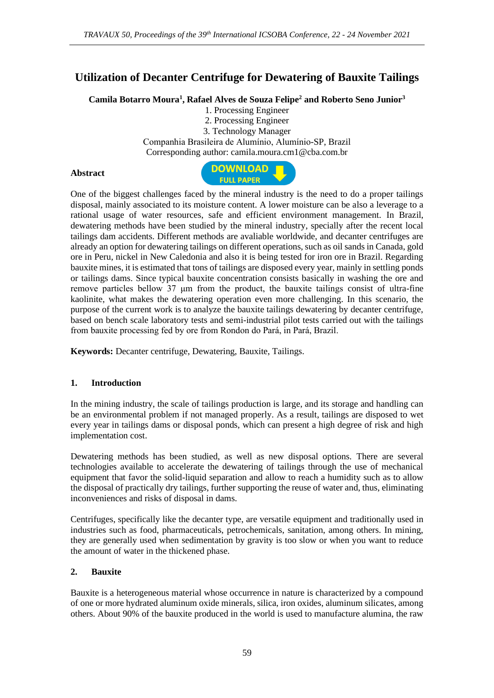# **Utilization of Decanter Centrifuge for Dewatering of Bauxite Tailings**

**Camila Botarro Moura<sup>1</sup> , Rafael Alves de Souza Felipe<sup>2</sup> and Roberto Seno Junior<sup>3</sup>**

1. Processing Engineer

2. Processing Engineer

3. Technology Manager Companhia Brasileira de Alumínio, Alumínio-SP, Brazil Corresponding author: camila.moura.cm1@cba.com.br

#### **Abstract**



One of the biggest challenges faced by the mineral industry is the need to do a proper tailings disposal, mainly associated to its moisture content. A lower moisture can be also a leverage to a rational usage of water resources, safe and efficient environment management. In Brazil, dewatering methods have been studied by the mineral industry, specially after the recent local tailings dam accidents. Different methods are avaliable worldwide, and decanter centrifuges are already an option for dewatering tailings on different operations, such as oil sands in Canada, gold ore in Peru, nickel in New Caledonia and also it is being tested for iron ore in Brazil. Regarding bauxite mines, it is estimated that tons of tailings are disposed every year, mainly in settling ponds or tailings dams. Since typical bauxite concentration consists basically in washing the ore and remove particles bellow 37 μm from the product, the bauxite tailings consist of ultra-fine kaolinite, what makes the dewatering operation even more challenging. In this scenario, the purpose of the current work is to analyze the bauxite tailings dewatering by decanter centrifuge, based on bench scale laboratory tests and semi-industrial pilot tests carried out with the tailings from bauxite processing fed by ore from Rondon do Pará, in Pará, Brazil.

**Keywords:** Decanter centrifuge, Dewatering, Bauxite, Tailings.

## **1. Introduction**

In the mining industry, the scale of tailings production is large, and its storage and handling can be an environmental problem if not managed properly. As a result, tailings are disposed to wet every year in tailings dams or disposal ponds, which can present a high degree of risk and high implementation cost.

Dewatering methods has been studied, as well as new disposal options. There are several technologies available to accelerate the dewatering of tailings through the use of mechanical equipment that favor the solid-liquid separation and allow to reach a humidity such as to allow the disposal of practically dry tailings, further supporting the reuse of water and, thus, eliminating inconveniences and risks of disposal in dams.

Centrifuges, specifically like the decanter type, are versatile equipment and traditionally used in industries such as food, pharmaceuticals, petrochemicals, sanitation, among others. In mining, they are generally used when sedimentation by gravity is too slow or when you want to reduce the amount of water in the thickened phase.

## **2. Bauxite**

Bauxite is a heterogeneous material whose occurrence in nature is characterized by a compound of one or more hydrated aluminum oxide minerals, silica, iron oxides, aluminum silicates, among others. About 90% of the bauxite produced in the world is used to manufacture alumina, the raw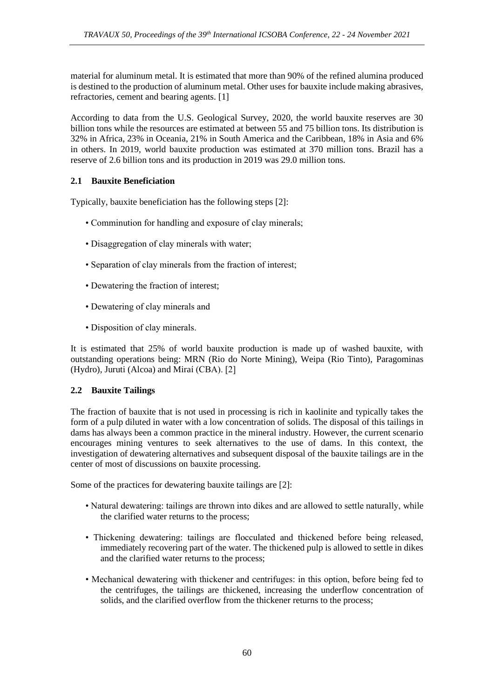material for aluminum metal. It is estimated that more than 90% of the refined alumina produced is destined to the production of aluminum metal. Other uses for bauxite include making abrasives, refractories, cement and bearing agents. [1]

According to data from the U.S. Geological Survey, 2020, the world bauxite reserves are 30 billion tons while the resources are estimated at between 55 and 75 billion tons. Its distribution is 32% in Africa, 23% in Oceania, 21% in South America and the Caribbean, 18% in Asia and 6% in others. In 2019, world bauxite production was estimated at 370 million tons. Brazil has a reserve of 2.6 billion tons and its production in 2019 was 29.0 million tons.

## **2.1 Bauxite Beneficiation**

Typically, bauxite beneficiation has the following steps [2]:

- Comminution for handling and exposure of clay minerals;
- Disaggregation of clay minerals with water;
- Separation of clay minerals from the fraction of interest;
- Dewatering the fraction of interest;
- Dewatering of clay minerals and
- Disposition of clay minerals.

It is estimated that 25% of world bauxite production is made up of washed bauxite, with outstanding operations being: MRN (Rio do Norte Mining), Weipa (Rio Tinto), Paragominas (Hydro), Juruti (Alcoa) and Miraí (CBA). [2]

## **2.2 Bauxite Tailings**

The fraction of bauxite that is not used in processing is rich in kaolinite and typically takes the form of a pulp diluted in water with a low concentration of solids. The disposal of this tailings in dams has always been a common practice in the mineral industry. However, the current scenario encourages mining ventures to seek alternatives to the use of dams. In this context, the investigation of dewatering alternatives and subsequent disposal of the bauxite tailings are in the center of most of discussions on bauxite processing.

Some of the practices for dewatering bauxite tailings are [2]:

- Natural dewatering: tailings are thrown into dikes and are allowed to settle naturally, while the clarified water returns to the process;
- Thickening dewatering: tailings are flocculated and thickened before being released, immediately recovering part of the water. The thickened pulp is allowed to settle in dikes and the clarified water returns to the process;
- Mechanical dewatering with thickener and centrifuges: in this option, before being fed to the centrifuges, the tailings are thickened, increasing the underflow concentration of solids, and the clarified overflow from the thickener returns to the process;